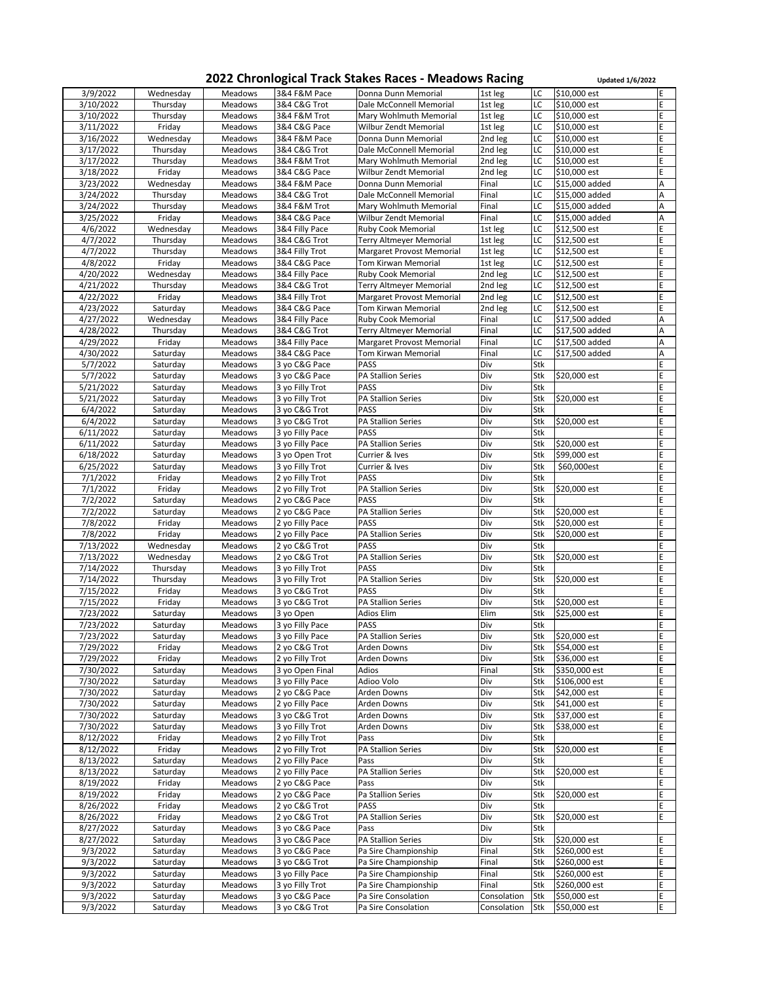## **2022 Chronlogical Track Stakes Races - Meadows Racing <b>Updated 1/6/2022**

| 3/9/2022  | Wednesday | <b>Meadows</b> | 3&4 F&M Pace    | Donna Dunn Memorial            | 1st leg     | LC         | \$10,000 est   | E           |
|-----------|-----------|----------------|-----------------|--------------------------------|-------------|------------|----------------|-------------|
|           |           |                |                 |                                |             |            |                |             |
| 3/10/2022 | Thursday  | <b>Meadows</b> | 3&4 C&G Trot    | Dale McConnell Memorial        | 1st leg     | LC         | $$10,000$ est  | E           |
| 3/10/2022 | Thursday  | <b>Meadows</b> | 3&4 F&M Trot    | Mary Wohlmuth Memorial         | 1st leg     | LC         | \$10,000 est   | E           |
| 3/11/2022 | Friday    | <b>Meadows</b> | 3&4 C&G Pace    | Wilbur Zendt Memorial          | 1st leg     | LC         | \$10,000 est   | E           |
| 3/16/2022 | Wednesday | <b>Meadows</b> | 3&4 F&M Pace    | Donna Dunn Memorial            | 2nd leg     | LC         | \$10,000 est   | E           |
| 3/17/2022 | Thursday  | <b>Meadows</b> | 3&4 C&G Trot    | Dale McConnell Memorial        | 2nd leg     | LC         | \$10,000 est   | E           |
|           |           |                |                 |                                |             |            |                |             |
| 3/17/2022 | Thursday  | <b>Meadows</b> | 3&4 F&M Trot    | Mary Wohlmuth Memorial         | 2nd leg     | LC         | \$10,000 est   | E           |
| 3/18/2022 | Friday    | <b>Meadows</b> | 3&4 C&G Pace    | Wilbur Zendt Memorial          | 2nd leg     | LC         | \$10,000 est   | E           |
| 3/23/2022 | Wednesday | Meadows        | 3&4 F&M Pace    | Donna Dunn Memorial            | Final       | LC         | \$15,000 added | А           |
| 3/24/2022 | Thursday  | Meadows        | 3&4 C&G Trot    | Dale McConnell Memorial        | Final       | LC         | \$15,000 added | А           |
| 3/24/2022 | Thursday  | <b>Meadows</b> | 3&4 F&M Trot    | Mary Wohlmuth Memorial         | Final       | LC         | \$15,000 added | А           |
|           |           |                |                 |                                |             |            |                |             |
| 3/25/2022 | Friday    | Meadows        | 3&4 C&G Pace    | Wilbur Zendt Memorial          | Final       | LC         | \$15,000 added | A           |
| 4/6/2022  | Wednesday | <b>Meadows</b> | 3&4 Filly Pace  | <b>Ruby Cook Memorial</b>      | 1st leg     | LC         | \$12,500 est   | E           |
| 4/7/2022  | Thursday  | <b>Meadows</b> | 3&4 C&G Trot    | <b>Terry Altmeyer Memorial</b> | 1st leg     | LC         | \$12,500 est   | E           |
| 4/7/2022  | Thursday  | <b>Meadows</b> | 3&4 Filly Trot  | Margaret Provost Memorial      | 1st leg     | LC         | \$12,500 est   | E           |
| 4/8/2022  | Friday    | Meadows        | 3&4 C&G Pace    | <b>Tom Kirwan Memorial</b>     | 1st leg     | LC         | \$12,500 est   | E           |
|           |           |                |                 |                                |             |            |                |             |
| 4/20/2022 | Wednesday | <b>Meadows</b> | 3&4 Filly Pace  | <b>Ruby Cook Memorial</b>      | 2nd leg     | LC         | \$12,500 est   | E           |
| 4/21/2022 | Thursday  | <b>Meadows</b> | 3&4 C&G Trot    | <b>Terry Altmeyer Memorial</b> | 2nd leg     | LC         | \$12,500 est   | E           |
| 4/22/2022 | Friday    | <b>Meadows</b> | 3&4 Filly Trot  | Margaret Provost Memorial      | 2nd leg     | LC         | \$12,500 est   | E           |
| 4/23/2022 | Saturday  | <b>Meadows</b> | 3&4 C&G Pace    | <b>Tom Kirwan Memorial</b>     | 2nd leg     | LC         | \$12,500 est   | E           |
| 4/27/2022 | Wednesday | <b>Meadows</b> | 3&4 Filly Pace  | <b>Ruby Cook Memorial</b>      | Final       | LC         | \$17,500 added | А           |
|           |           |                |                 |                                |             |            |                |             |
| 4/28/2022 | Thursday  | <b>Meadows</b> | 3&4 C&G Trot    | Terry Altmeyer Memorial        | Final       | LC         | \$17,500 added | A           |
| 4/29/2022 | Friday    | <b>Meadows</b> | 3&4 Filly Pace  | Margaret Provost Memorial      | Final       | LC         | \$17,500 added | A           |
| 4/30/2022 | Saturday  | <b>Meadows</b> | 3&4 C&G Pace    | <b>Tom Kirwan Memorial</b>     | Final       | LC         | \$17,500 added | A           |
| 5/7/2022  | Saturday  | <b>Meadows</b> | 3 yo C&G Pace   | <b>PASS</b>                    | Div         | Stk        |                | E           |
| 5/7/2022  |           | <b>Meadows</b> | 3 yo C&G Pace   | <b>PA Stallion Series</b>      | Div         | Stk        | \$20,000 est   | E           |
|           | Saturday  |                |                 |                                |             |            |                |             |
| 5/21/2022 | Saturday  | <b>Meadows</b> | 3 yo Filly Trot | <b>PASS</b>                    | Div         | Stk        |                | E           |
| 5/21/2022 | Saturday  | <b>Meadows</b> | 3 yo Filly Trot | <b>PA Stallion Series</b>      | Div         | Stk        | \$20,000 est   | E           |
| 6/4/2022  | Saturday  | <b>Meadows</b> | 3 yo C&G Trot   | <b>PASS</b>                    | Div         | Stk        |                | E           |
| 6/4/2022  | Saturday  | <b>Meadows</b> | 3 yo C&G Trot   | <b>PA Stallion Series</b>      | Div         | Stk        | \$20,000 est   |             |
| 6/11/2022 |           | <b>Meadows</b> |                 | <b>PASS</b>                    | Div         | Stk        |                | E           |
|           | Saturday  |                | 3 yo Filly Pace |                                |             |            |                |             |
| 6/11/2022 | Saturday  | <b>Meadows</b> | 3 yo Filly Pace | <b>PA Stallion Series</b>      | Div         | Stk        | \$20,000 est   | E           |
| 6/18/2022 | Saturday  | <b>Meadows</b> | 3 yo Open Trot  | Currier & Ives                 | Div         | Stk        | \$99,000 est   | E           |
| 6/25/2022 | Saturday  | <b>Meadows</b> | 3 yo Filly Trot | Currier & Ives                 | Div         | Stk        | \$60,000est    | Ė           |
| 7/1/2022  | Friday    | <b>Meadows</b> | 2 yo Filly Trot | <b>PASS</b>                    | Div         | Stk        |                | E           |
|           |           |                |                 | <b>PA Stallion Series</b>      |             |            |                | E           |
| 7/1/2022  | Friday    | <b>Meadows</b> | 2 yo Filly Trot |                                | Div         | Stk        | \$20,000 est   |             |
| 7/2/2022  | Saturday  | <b>Meadows</b> | 2 yo C&G Pace   | <b>PASS</b>                    | Div         | Stk        |                | E           |
| 7/2/2022  | Saturday  | <b>Meadows</b> | 2 yo C&G Pace   | <b>PA Stallion Series</b>      | Div         | Stk        | \$20,000 est   | Ė           |
| 7/8/2022  | Friday    | <b>Meadows</b> | 2 yo Filly Pace | <b>PASS</b>                    | Div         | Stk        | \$20,000 est   | E           |
| 7/8/2022  | Friday    | <b>Meadows</b> | 2 yo Filly Pace | <b>PA Stallion Series</b>      | Div         | Stk        | \$20,000 est   | E           |
|           |           |                |                 |                                |             |            |                |             |
| 7/13/2022 | Wednesday | <b>Meadows</b> | 2 yo C&G Trot   | <b>PASS</b>                    | Div         | Stk        |                | E           |
| 7/13/2022 | Wednesday | <b>Meadows</b> | 2 yo C&G Trot   | <b>PA Stallion Series</b>      | Div         | Stk        | \$20,000 est   | E           |
| 7/14/2022 | Thursday  | <b>Meadows</b> | 3 yo Filly Trot | <b>PASS</b>                    | Div         | Stk        |                | E           |
| 7/14/2022 | Thursday  | <b>Meadows</b> | 3 yo Filly Trot | <b>PA Stallion Series</b>      | Div         | Stk        | \$20,000 est   | E           |
| 7/15/2022 | Friday    | <b>Meadows</b> | 3 yo C&G Trot   | <b>PASS</b>                    | Div         | <b>Stk</b> |                | E           |
| 7/15/2022 | Friday    | Meadows        | 3 yo C&G Trot   | <b>PA Stallion Series</b>      | Div         | Stk        | \$20,000 est   | E           |
|           |           |                |                 |                                |             |            |                |             |
| 7/23/2022 | Saturday  | <b>Meadows</b> | 3 yo Open       | Adios Elim                     | Elim        | Stk        | \$25,000 est   | E           |
| 7/23/2022 | Saturday  | <b>Meadows</b> | 3 yo Filly Pace | <b>PASS</b>                    | Div         | <b>Stk</b> |                | E           |
| 7/23/2022 | Saturday  | <b>Meadows</b> | 3 yo Filly Pace | <b>PA Stallion Series</b>      | Div         | Stk        | \$20,000 est   | E           |
| 7/29/2022 | Friday    | Meadows        | 2 yo C&G Trot   | Arden Downs                    | Div         | Stk        | \$54,000 est   | E           |
| 7/29/2022 | Friday    | <b>Meadows</b> | 2 yo Filly Trot | Arden Downs                    | Div         | <b>Stk</b> | \$36,000 est   | E           |
|           |           |                |                 |                                |             |            |                |             |
| 7/30/2022 | Saturday  | <b>Meadows</b> | 3 yo Open Final | Adios                          | Final       | Stk        | \$350,000 est  | E           |
| 7/30/2022 | Saturday  | <b>Meadows</b> | 3 yo Filly Pace | Adioo Volo                     | Div         | Stk        | \$106,000 est  | E           |
| 7/30/2022 | Saturday  | <b>Meadows</b> | 2 yo C&G Pace   | Arden Downs                    | Div         | Stk        | \$42,000 est   | E           |
| 7/30/2022 | Saturday  | <b>Meadows</b> | 2 yo Filly Pace | Arden Downs                    | Div         | Stk        | \$41,000 est   | E.          |
| 7/30/2022 | Saturday  | <b>Meadows</b> | 3 yo C&G Trot   | Arden Downs                    | Div         | Stk        | \$37,000 est   | E           |
| 7/30/2022 | Saturday  | <b>Meadows</b> | 3 yo Filly Trot | <b>Arden Downs</b>             | Div         | Stk        | \$38,000 est   | E           |
|           |           |                |                 |                                |             |            |                |             |
| 8/12/2022 | Friday    | <b>Meadows</b> | 2 yo Filly Trot | Pass                           | Div         | <b>Stk</b> |                | E           |
| 8/12/2022 | Friday    | <b>Meadows</b> | 2 yo Filly Trot | <b>PA Stallion Series</b>      | Div         | Stk        | \$20,000 est   | E           |
| 8/13/2022 | Saturday  | <b>Meadows</b> | 2 yo Filly Pace | Pass                           | Div         | Stk        |                | E           |
| 8/13/2022 | Saturday  | <b>Meadows</b> | 2 yo Filly Pace | <b>PA Stallion Series</b>      | Div         | Stk        | \$20,000 est   | $\sf E$     |
| 8/19/2022 | Friday    | <b>Meadows</b> | 2 yo C&G Pace   | Pass                           | Div         | <b>Stk</b> |                | E           |
|           |           |                |                 |                                |             |            |                |             |
| 8/19/2022 | Friday    | <b>Meadows</b> | 2 yo C&G Pace   | Pa Stallion Series             | Div         | Stk        | \$20,000 est   | E           |
| 8/26/2022 | Friday    | <b>Meadows</b> | 2 yo C&G Trot   | <b>PASS</b>                    | Div         | <b>Stk</b> |                | E           |
| 8/26/2022 | Friday    | <b>Meadows</b> | 2 yo C&G Trot   | <b>PA Stallion Series</b>      | Div         | <b>Stk</b> | \$20,000 est   | E           |
| 8/27/2022 | Saturday  | <b>Meadows</b> | 3 yo C&G Pace   | Pass                           | Div         | <b>Stk</b> |                |             |
| 8/27/2022 | Saturday  | <b>Meadows</b> | 3 yo C&G Pace   | <b>PA Stallion Series</b>      | Div         | Stk        | \$20,000 est   | E           |
|           |           |                |                 |                                |             |            |                |             |
| 9/3/2022  | Saturday  | <b>Meadows</b> | 3 yo C&G Pace   | Pa Sire Championship           | Final       | Stk        | \$260,000 est  | E           |
| 9/3/2022  | Saturday  | <b>Meadows</b> | 3 yo C&G Trot   | Pa Sire Championship           | Final       | Stk        | \$260,000 est  | E           |
| 9/3/2022  | Saturday  | <b>Meadows</b> | 3 yo Filly Pace | Pa Sire Championship           | Final       | Stk        | \$260,000 est  | E           |
| 9/3/2022  | Saturday  | <b>Meadows</b> | 3 yo Filly Trot | Pa Sire Championship           | Final       | Stk        | \$260,000 est  | E           |
| 9/3/2022  | Saturday  | <b>Meadows</b> | 3 yo C&G Pace   | Pa Sire Consolation            | Consolation | <b>Stk</b> | \$50,000 est   | E           |
| 9/3/2022  |           | <b>Meadows</b> | 3 yo C&G Trot   |                                | Consolation | <b>Stk</b> |                | $\mathsf E$ |
|           | Saturday  |                |                 | Pa Sire Consolation            |             |            | \$50,000 est   |             |